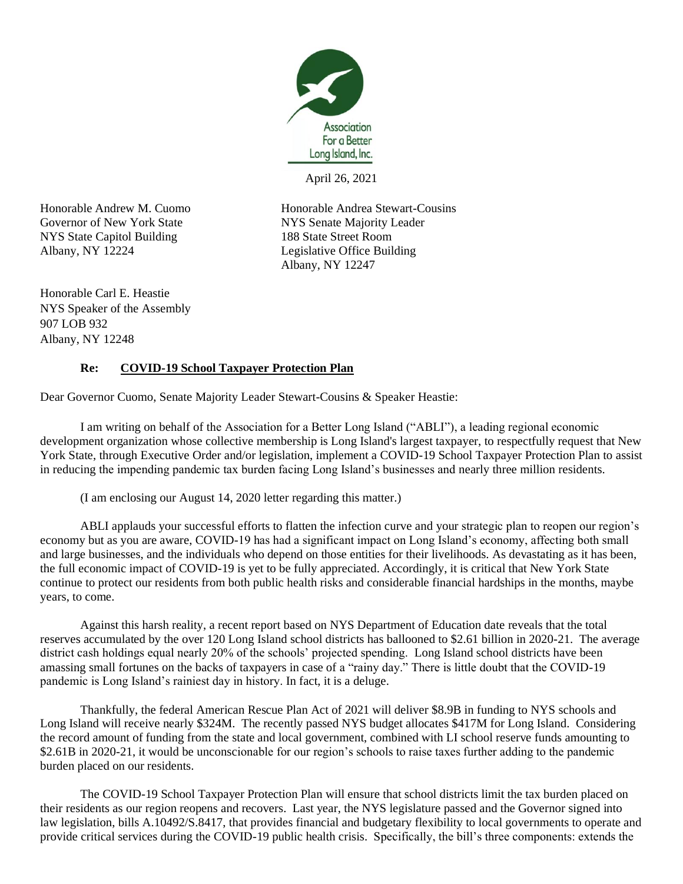

April 26, 2021

NYS State Capitol Building 188 State Street Room Albany, NY 12224 Legislative Office Building

Honorable Andrew M. Cuomo<br>
Honorable Andrea Stewart-Cousins Governor of New York State NYS Senate Majority Leader Albany, NY 12247

Honorable Carl E. Heastie NYS Speaker of the Assembly 907 LOB 932 Albany, NY 12248

## **Re: COVID-19 School Taxpayer Protection Plan**

Dear Governor Cuomo, Senate Majority Leader Stewart-Cousins & Speaker Heastie:

I am writing on behalf of the Association for a Better Long Island ("ABLI"), a leading regional economic development organization whose collective membership is Long Island's largest taxpayer, to respectfully request that New York State, through Executive Order and/or legislation, implement a COVID-19 School Taxpayer Protection Plan to assist in reducing the impending pandemic tax burden facing Long Island's businesses and nearly three million residents.

(I am enclosing our August 14, 2020 letter regarding this matter.)

ABLI applauds your successful efforts to flatten the infection curve and your strategic plan to reopen our region's economy but as you are aware, COVID-19 has had a significant impact on Long Island's economy, affecting both small and large businesses, and the individuals who depend on those entities for their livelihoods. As devastating as it has been, the full economic impact of COVID-19 is yet to be fully appreciated. Accordingly, it is critical that New York State continue to protect our residents from both public health risks and considerable financial hardships in the months, maybe years, to come.

Against this harsh reality, a recent report based on NYS Department of Education date reveals that the total reserves accumulated by the over 120 Long Island school districts has ballooned to \$2.61 billion in 2020-21. The average district cash holdings equal nearly 20% of the schools' projected spending. Long Island school districts have been amassing small fortunes on the backs of taxpayers in case of a "rainy day." There is little doubt that the COVID-19 pandemic is Long Island's rainiest day in history. In fact, it is a deluge.

Thankfully, the federal American Rescue Plan Act of 2021 will deliver \$8.9B in funding to NYS schools and Long Island will receive nearly \$324M. The recently passed NYS budget allocates \$417M for Long Island. Considering the record amount of funding from the state and local government, combined with LI school reserve funds amounting to \$2.61B in 2020-21, it would be unconscionable for our region's schools to raise taxes further adding to the pandemic burden placed on our residents.

The COVID-19 School Taxpayer Protection Plan will ensure that school districts limit the tax burden placed on their residents as our region reopens and recovers. Last year, the NYS legislature passed and the Governor signed into law legislation, bills A.10492/S.8417, that provides financial and budgetary flexibility to local governments to operate and provide critical services during the COVID-19 public health crisis. Specifically, the bill's three components: extends the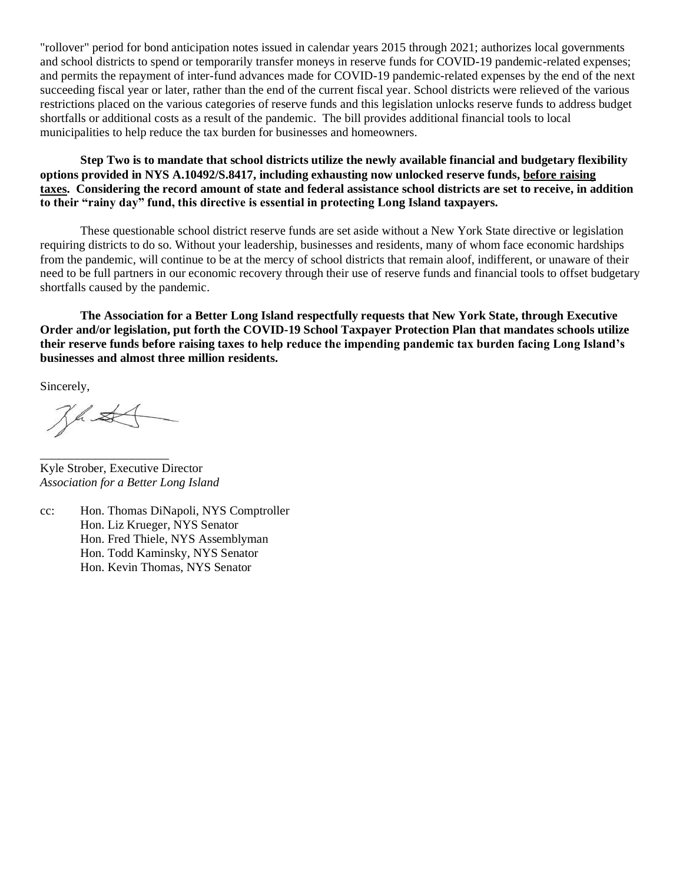"rollover" period for bond anticipation notes issued in calendar years 2015 through 2021; authorizes local governments and school districts to spend or temporarily transfer moneys in reserve funds for COVID-19 pandemic-related expenses; and permits the repayment of inter-fund advances made for COVID-19 pandemic-related expenses by the end of the next succeeding fiscal year or later, rather than the end of the current fiscal year. School districts were relieved of the various restrictions placed on the various categories of reserve funds and this legislation unlocks reserve funds to address budget shortfalls or additional costs as a result of the pandemic. The bill provides additional financial tools to local municipalities to help reduce the tax burden for businesses and homeowners.

**Step Two is to mandate that school districts utilize the newly available financial and budgetary flexibility options provided in NYS A.10492/S.8417, including exhausting now unlocked reserve funds, before raising taxes. Considering the record amount of state and federal assistance school districts are set to receive, in addition to their "rainy day" fund, this directive is essential in protecting Long Island taxpayers.**

These questionable school district reserve funds are set aside without a New York State directive or legislation requiring districts to do so. Without your leadership, businesses and residents, many of whom face economic hardships from the pandemic, will continue to be at the mercy of school districts that remain aloof, indifferent, or unaware of their need to be full partners in our economic recovery through their use of reserve funds and financial tools to offset budgetary shortfalls caused by the pandemic.

**The Association for a Better Long Island respectfully requests that New York State, through Executive Order and/or legislation, put forth the COVID-19 School Taxpayer Protection Plan that mandates schools utilize their reserve funds before raising taxes to help reduce the impending pandemic tax burden facing Long Island's businesses and almost three million residents.**

Sincerely,

Jhst

\_\_\_\_\_\_\_\_\_\_\_\_\_\_\_\_\_\_\_\_\_

Kyle Strober, Executive Director *Association for a Better Long Island*

cc: Hon. Thomas DiNapoli, NYS Comptroller Hon. Liz Krueger, NYS Senator Hon. Fred Thiele, NYS Assemblyman Hon. Todd Kaminsky, NYS Senator Hon. Kevin Thomas, NYS Senator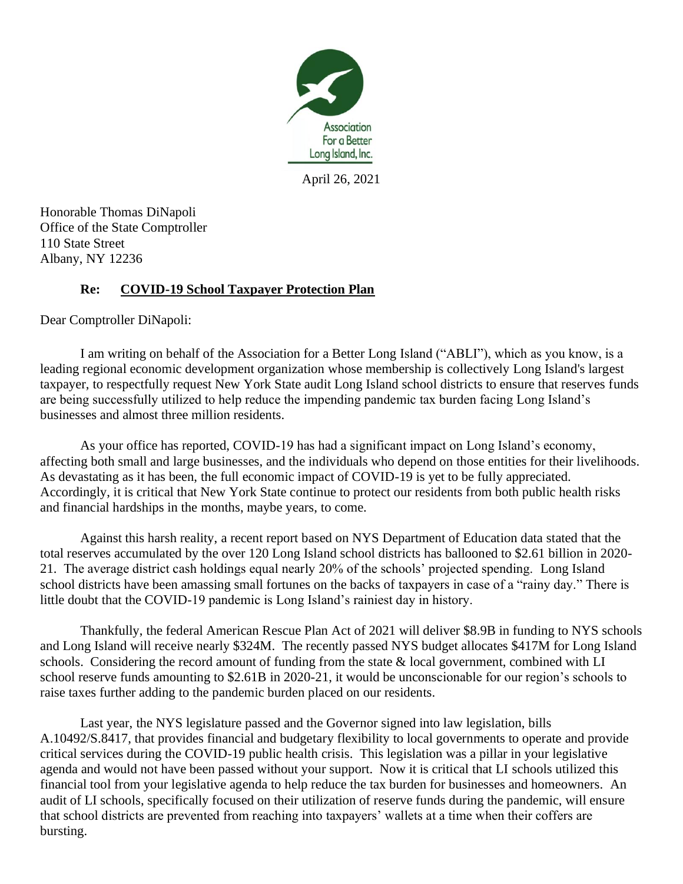

April 26, 2021

Honorable Thomas DiNapoli Office of the State Comptroller 110 State Street Albany, NY 12236

## **Re: COVID-19 School Taxpayer Protection Plan**

Dear Comptroller DiNapoli:

I am writing on behalf of the Association for a Better Long Island ("ABLI"), which as you know, is a leading regional economic development organization whose membership is collectively Long Island's largest taxpayer, to respectfully request New York State audit Long Island school districts to ensure that reserves funds are being successfully utilized to help reduce the impending pandemic tax burden facing Long Island's businesses and almost three million residents.

As your office has reported, COVID-19 has had a significant impact on Long Island's economy, affecting both small and large businesses, and the individuals who depend on those entities for their livelihoods. As devastating as it has been, the full economic impact of COVID-19 is yet to be fully appreciated. Accordingly, it is critical that New York State continue to protect our residents from both public health risks and financial hardships in the months, maybe years, to come.

Against this harsh reality, a recent report based on NYS Department of Education data stated that the total reserves accumulated by the over 120 Long Island school districts has ballooned to \$2.61 billion in 2020- 21. The average district cash holdings equal nearly 20% of the schools' projected spending. Long Island school districts have been amassing small fortunes on the backs of taxpayers in case of a "rainy day." There is little doubt that the COVID-19 pandemic is Long Island's rainiest day in history.

Thankfully, the federal American Rescue Plan Act of 2021 will deliver \$8.9B in funding to NYS schools and Long Island will receive nearly \$324M. The recently passed NYS budget allocates \$417M for Long Island schools. Considering the record amount of funding from the state & local government, combined with LI school reserve funds amounting to \$2.61B in 2020-21, it would be unconscionable for our region's schools to raise taxes further adding to the pandemic burden placed on our residents.

Last year, the NYS legislature passed and the Governor signed into law legislation, bills A.10492/S.8417, that provides financial and budgetary flexibility to local governments to operate and provide critical services during the COVID-19 public health crisis. This legislation was a pillar in your legislative agenda and would not have been passed without your support. Now it is critical that LI schools utilized this financial tool from your legislative agenda to help reduce the tax burden for businesses and homeowners. An audit of LI schools, specifically focused on their utilization of reserve funds during the pandemic, will ensure that school districts are prevented from reaching into taxpayers' wallets at a time when their coffers are bursting.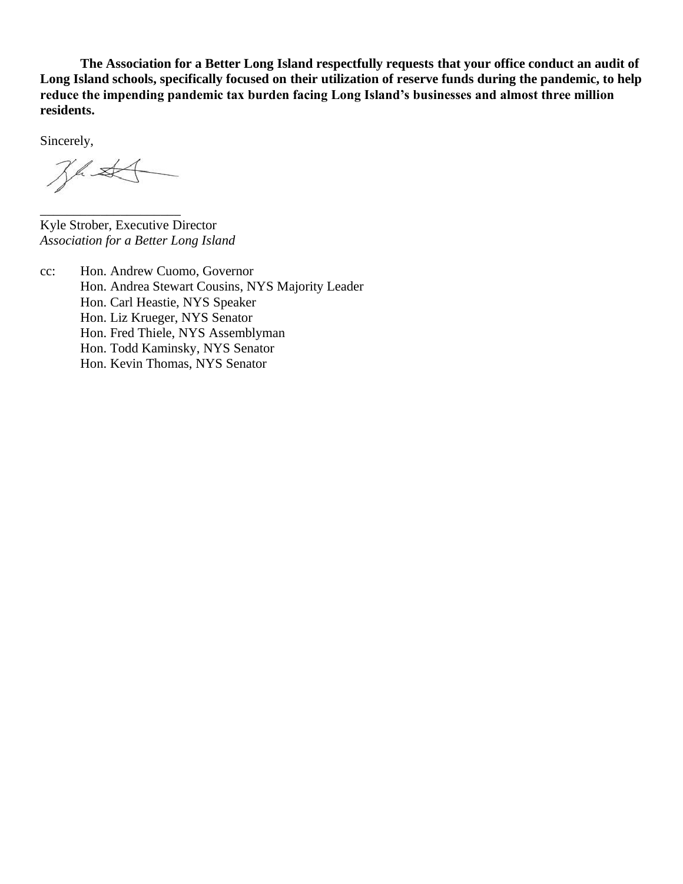**The Association for a Better Long Island respectfully requests that your office conduct an audit of Long Island schools, specifically focused on their utilization of reserve funds during the pandemic, to help reduce the impending pandemic tax burden facing Long Island's businesses and almost three million residents.**

Sincerely,

 $Z^4$ 

\_\_\_\_\_\_\_\_\_\_\_\_\_\_\_\_\_\_\_\_\_

Kyle Strober, Executive Director *Association for a Better Long Island*

cc: Hon. Andrew Cuomo, Governor Hon. Andrea Stewart Cousins, NYS Majority Leader Hon. Carl Heastie, NYS Speaker Hon. Liz Krueger, NYS Senator Hon. Fred Thiele, NYS Assemblyman Hon. Todd Kaminsky, NYS Senator Hon. Kevin Thomas, NYS Senator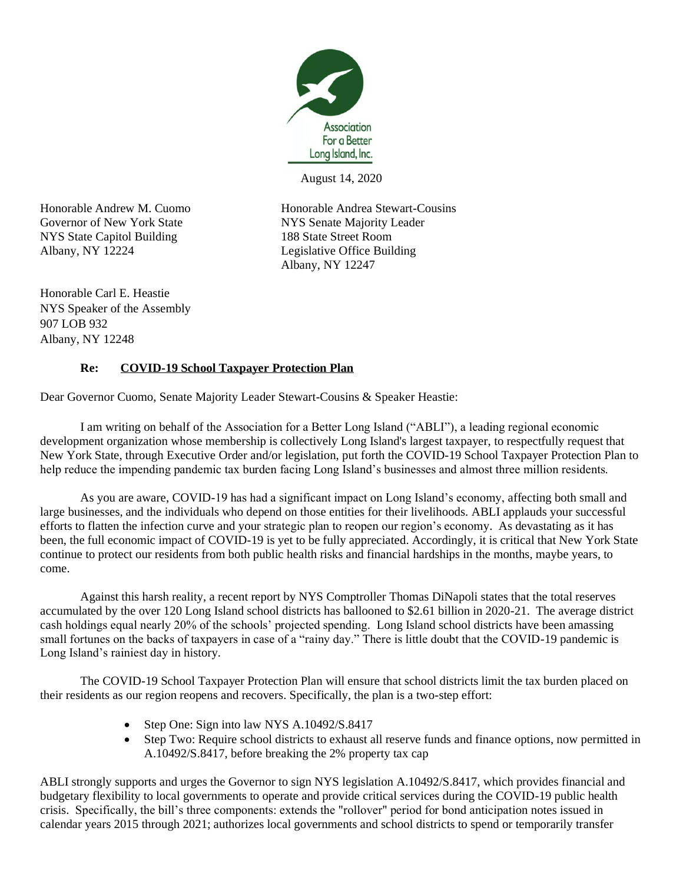

August 14, 2020

NYS State Capitol Building 188 State Street Room Albany, NY 12224 Legislative Office Building

Honorable Andrew M. Cuomo<br>
Honorable Andrea Stewart-Cousins Governor of New York State NYS Senate Majority Leader Albany, NY 12247

Honorable Carl E. Heastie NYS Speaker of the Assembly 907 LOB 932 Albany, NY 12248

## **Re: COVID-19 School Taxpayer Protection Plan**

Dear Governor Cuomo, Senate Majority Leader Stewart-Cousins & Speaker Heastie:

I am writing on behalf of the Association for a Better Long Island ("ABLI"), a leading regional economic development organization whose membership is collectively Long Island's largest taxpayer, to respectfully request that New York State, through Executive Order and/or legislation, put forth the COVID-19 School Taxpayer Protection Plan to help reduce the impending pandemic tax burden facing Long Island's businesses and almost three million residents.

As you are aware, COVID-19 has had a significant impact on Long Island's economy, affecting both small and large businesses, and the individuals who depend on those entities for their livelihoods. ABLI applauds your successful efforts to flatten the infection curve and your strategic plan to reopen our region's economy. As devastating as it has been, the full economic impact of COVID-19 is yet to be fully appreciated. Accordingly, it is critical that New York State continue to protect our residents from both public health risks and financial hardships in the months, maybe years, to come.

Against this harsh reality, a recent report by NYS Comptroller Thomas DiNapoli states that the total reserves accumulated by the over 120 Long Island school districts has ballooned to \$2.61 billion in 2020-21. The average district cash holdings equal nearly 20% of the schools' projected spending. Long Island school districts have been amassing small fortunes on the backs of taxpayers in case of a "rainy day." There is little doubt that the COVID-19 pandemic is Long Island's rainiest day in history.

The COVID-19 School Taxpayer Protection Plan will ensure that school districts limit the tax burden placed on their residents as our region reopens and recovers. Specifically, the plan is a two-step effort:

- Step One: Sign into law NYS A.10492/S.8417
- Step Two: Require school districts to exhaust all reserve funds and finance options, now permitted in A.10492/S.8417, before breaking the 2% property tax cap

ABLI strongly supports and urges the Governor to sign NYS legislation A.10492/S.8417, which provides financial and budgetary flexibility to local governments to operate and provide critical services during the COVID-19 public health crisis. Specifically, the bill's three components: extends the "rollover" period for bond anticipation notes issued in calendar years 2015 through 2021; authorizes local governments and school districts to spend or temporarily transfer